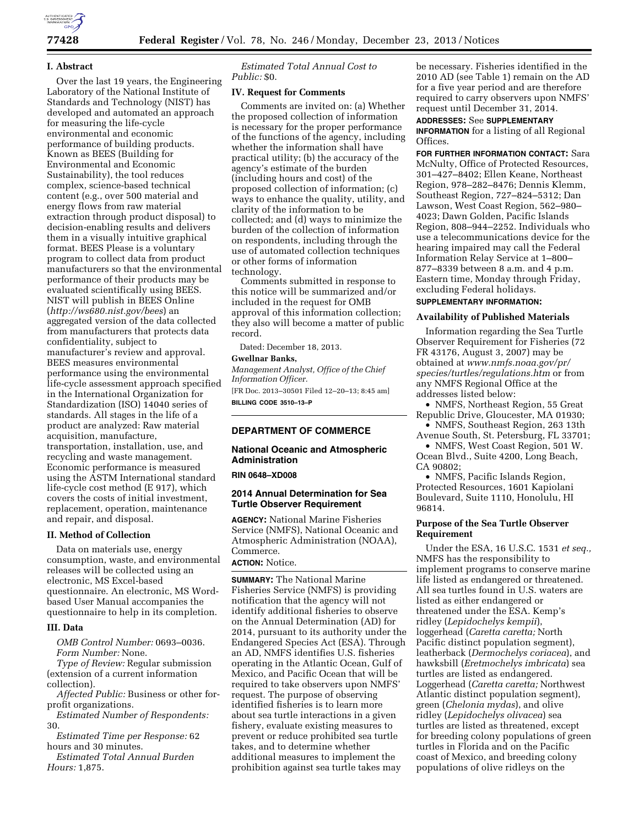

### **I. Abstract**

Over the last 19 years, the Engineering Laboratory of the National Institute of Standards and Technology (NIST) has developed and automated an approach for measuring the life-cycle environmental and economic performance of building products. Known as BEES (Building for Environmental and Economic Sustainability), the tool reduces complex, science-based technical content (e.g., over 500 material and energy flows from raw material extraction through product disposal) to decision-enabling results and delivers them in a visually intuitive graphical format. BEES Please is a voluntary program to collect data from product manufacturers so that the environmental performance of their products may be evaluated scientifically using BEES. NIST will publish in BEES Online (*<http://ws680.nist.gov/bees>*) an aggregated version of the data collected from manufacturers that protects data confidentiality, subject to manufacturer's review and approval. BEES measures environmental performance using the environmental life-cycle assessment approach specified in the International Organization for Standardization (ISO) 14040 series of standards. All stages in the life of a product are analyzed: Raw material acquisition, manufacture, transportation, installation, use, and recycling and waste management. Economic performance is measured using the ASTM International standard life-cycle cost method (E 917), which covers the costs of initial investment, replacement, operation, maintenance and repair, and disposal.

#### **II. Method of Collection**

Data on materials use, energy consumption, waste, and environmental releases will be collected using an electronic, MS Excel-based questionnaire. An electronic, MS Wordbased User Manual accompanies the questionnaire to help in its completion.

### **III. Data**

*OMB Control Number:* 0693–0036. *Form Number:* None.

*Type of Review:* Regular submission (extension of a current information collection).

*Affected Public:* Business or other forprofit organizations.

*Estimated Number of Respondents:*  30.

*Estimated Time per Response:* 62 hours and 30 minutes.

*Estimated Total Annual Burden Hours:* 1,875.

*Estimated Total Annual Cost to Public:* \$0.

### **IV. Request for Comments**

Comments are invited on: (a) Whether the proposed collection of information is necessary for the proper performance of the functions of the agency, including whether the information shall have practical utility; (b) the accuracy of the agency's estimate of the burden (including hours and cost) of the proposed collection of information; (c) ways to enhance the quality, utility, and clarity of the information to be collected; and (d) ways to minimize the burden of the collection of information on respondents, including through the use of automated collection techniques or other forms of information technology.

Comments submitted in response to this notice will be summarized and/or included in the request for OMB approval of this information collection; they also will become a matter of public record.

Dated: December 18, 2013.

### **Gwellnar Banks,**

*Management Analyst, Office of the Chief Information Officer.*  [FR Doc. 2013–30501 Filed 12–20–13; 8:45 am]

**BILLING CODE 3510–13–P** 

### **DEPARTMENT OF COMMERCE**

### **National Oceanic and Atmospheric Administration**

### **RIN 0648–XD008**

### **2014 Annual Determination for Sea Turtle Observer Requirement**

**AGENCY:** National Marine Fisheries Service (NMFS), National Oceanic and Atmospheric Administration (NOAA), Commerce.

# **ACTION:** Notice.

**SUMMARY:** The National Marine Fisheries Service (NMFS) is providing notification that the agency will not identify additional fisheries to observe on the Annual Determination (AD) for 2014, pursuant to its authority under the Endangered Species Act (ESA). Through an AD, NMFS identifies U.S. fisheries operating in the Atlantic Ocean, Gulf of Mexico, and Pacific Ocean that will be required to take observers upon NMFS' request. The purpose of observing identified fisheries is to learn more about sea turtle interactions in a given fishery, evaluate existing measures to prevent or reduce prohibited sea turtle takes, and to determine whether additional measures to implement the prohibition against sea turtle takes may

be necessary. Fisheries identified in the 2010 AD (see Table 1) remain on the AD for a five year period and are therefore required to carry observers upon NMFS' request until December 31, 2014.

**ADDRESSES:** See **SUPPLEMENTARY INFORMATION** for a listing of all Regional Offices.

**FOR FURTHER INFORMATION CONTACT:** Sara McNulty, Office of Protected Resources, 301–427–8402; Ellen Keane, Northeast Region, 978–282–8476; Dennis Klemm, Southeast Region, 727–824–5312; Dan Lawson, West Coast Region, 562–980– 4023; Dawn Golden, Pacific Islands Region, 808–944–2252. Individuals who use a telecommunications device for the hearing impaired may call the Federal Information Relay Service at 1–800– 877–8339 between 8 a.m. and 4 p.m. Eastern time, Monday through Friday, excluding Federal holidays.

#### **SUPPLEMENTARY INFORMATION:**

#### **Availability of Published Materials**

Information regarding the Sea Turtle Observer Requirement for Fisheries (72 FR 43176, August 3, 2007) may be obtained at *[www.nmfs.noaa.gov/pr/](http://www.nmfs.noaa.gov/pr/species/turtles/regulations.htm) [species/turtles/regulations.htm](http://www.nmfs.noaa.gov/pr/species/turtles/regulations.htm)* or from any NMFS Regional Office at the addresses listed below:

• NMFS, Northeast Region, 55 Great Republic Drive, Gloucester, MA 01930;

• NMFS, Southeast Region, 263 13th Avenue South, St. Petersburg, FL 33701;

• NMFS, West Coast Region, 501 W. Ocean Blvd., Suite 4200, Long Beach, CA 90802;

• NMFS, Pacific Islands Region, Protected Resources, 1601 Kapiolani Boulevard, Suite 1110, Honolulu, HI 96814.

## **Purpose of the Sea Turtle Observer Requirement**

Under the ESA, 16 U.S.C. 1531 *et seq.,*  NMFS has the responsibility to implement programs to conserve marine life listed as endangered or threatened. All sea turtles found in U.S. waters are listed as either endangered or threatened under the ESA. Kemp's ridley (*Lepidochelys kempii*), loggerhead (*Caretta caretta;* North Pacific distinct population segment), leatherback (*Dermochelys coriacea*), and hawksbill (*Eretmochelys imbricata*) sea turtles are listed as endangered. Loggerhead (*Caretta caretta;* Northwest Atlantic distinct population segment), green (*Chelonia mydas*), and olive ridley (*Lepidochelys olivacea*) sea turtles are listed as threatened, except for breeding colony populations of green turtles in Florida and on the Pacific coast of Mexico, and breeding colony populations of olive ridleys on the